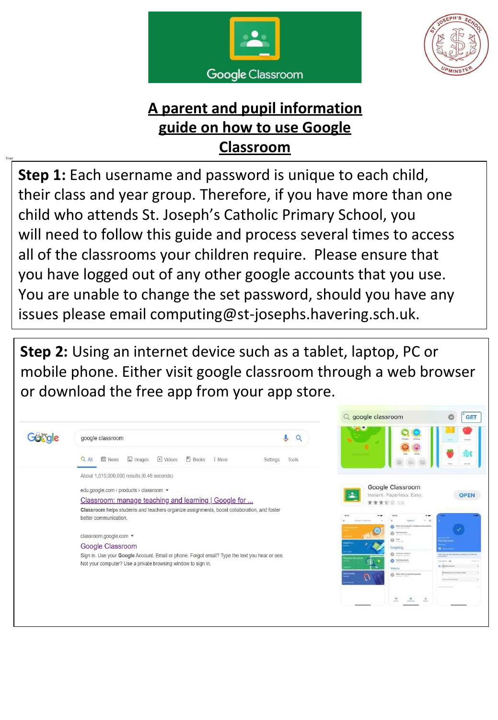



**Step 1:** Each username and password is unique to each child, their class and year group. Therefore, if you have more than one child who attends St. Joseph's Catholic Primary School, you will need to follow this guide and process several times to access all of the classrooms your children require. Please ensure that you have logged out of any other google accounts that you use. You are unable to change the set password, should you have any issues please email computing@st-josephs.havering.sch.uk.

**Step 2:** Using an internet device such as a tablet, laptop, PC or mobile phone. Either visit google classroom through a web browser or download the free app from your app store.

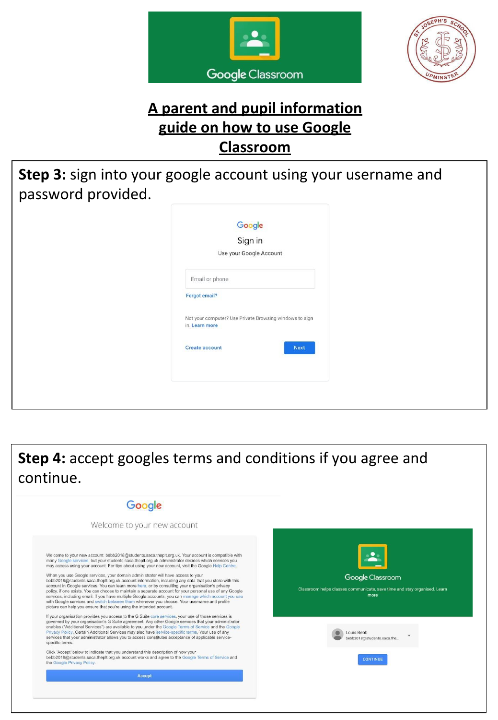



**Step 3:** sign into your google account using your username and password provided.

| Google<br>Sign in<br>Use your Google Account                                                                                           |
|----------------------------------------------------------------------------------------------------------------------------------------|
| Email or phone<br>Forgot email?<br>Not your computer? Use Private Browsing windows to sign<br>in. Learn more<br>Create account<br>Next |

**Step 4:** accept googles terms and conditions if you agree and continue.

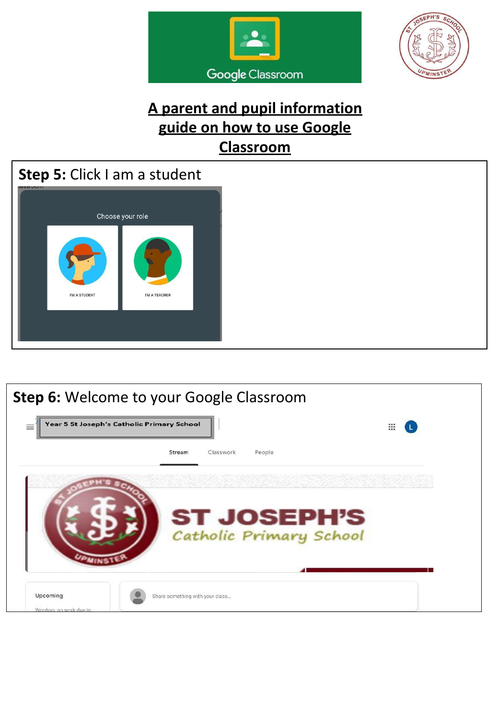





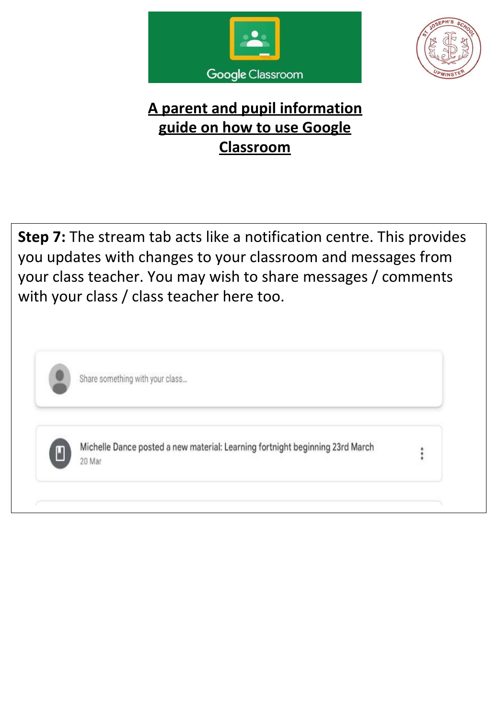



**Step 7:** The stream tab acts like a notification centre. This provides you updates with changes to your classroom and messages from your class teacher. You may wish to share messages / comments with your class / class teacher here too.



Share something with your class...



Michelle Dance posted a new material: Learning fortnight beginning 23rd March 20 Mar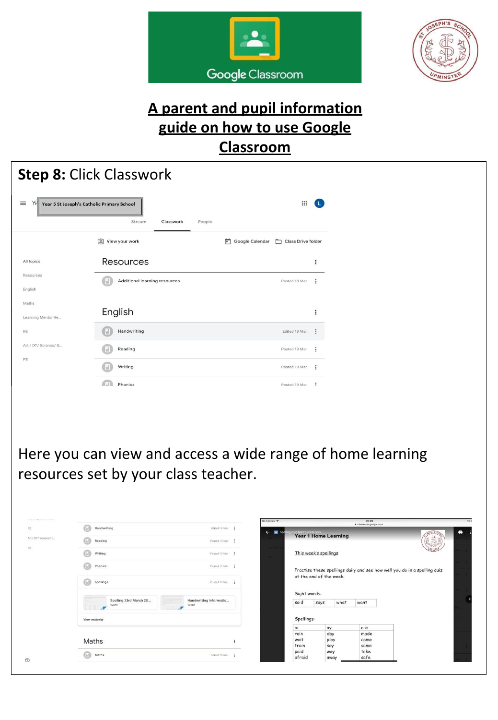



|                       | Year 5 St Joseph's Catholic Primary School        | ₩                                              |                                                                                                                                                                       |
|-----------------------|---------------------------------------------------|------------------------------------------------|-----------------------------------------------------------------------------------------------------------------------------------------------------------------------|
|                       | Stream<br>Classwork<br>View your work             | People<br>Google Calendar   Class Drive folder |                                                                                                                                                                       |
| All topics            | Resources                                         |                                                | $\vdots$                                                                                                                                                              |
| Resources<br>English  | Additional learning resources<br>M                | Posted 18 Mar                                  | ÷                                                                                                                                                                     |
| Maths                 | English                                           |                                                | $\vdots$                                                                                                                                                              |
| Learning Mentor Re    | Handwriting                                       | Edited 19 Mar                                  |                                                                                                                                                                       |
| Art / DT/ Science/ G  | Reading                                           | Posted 19 Mar                                  | ÷                                                                                                                                                                     |
|                       | Writing                                           | Posted 19 Mar                                  | ÷                                                                                                                                                                     |
|                       | <b>COL</b><br>Phonics                             | Posted 19 Mar                                  | $\ddot{\phantom{a}}$                                                                                                                                                  |
|                       |                                                   |                                                |                                                                                                                                                                       |
|                       | resources set by your class teacher.              |                                                |                                                                                                                                                                       |
|                       | Handwriting                                       | Edited 19 Mar<br>×                             | 09:06<br>a class<br>om.google.com                                                                                                                                     |
|                       | Reading                                           | Posted 19 Mar<br>×                             | <b>Year 1 Home Learning</b>                                                                                                                                           |
|                       | Writing                                           | Posted 19 Mar = 2                              | This week's spellings                                                                                                                                                 |
|                       | Phonics                                           | Posted 19 Mar                                  |                                                                                                                                                                       |
|                       | Spellings                                         | Posted 19 Mar                                  | at the end of the week.                                                                                                                                               |
|                       | Spelling 23rd March 20<br>Word<br>Word<br>æ<br>2P | Handwriting Informatio<br>said                 | Sight words:<br>says<br>what<br>want                                                                                                                                  |
| Art / DT/ Science/ G. | View material                                     | Spellings:<br>αi<br>rain                       | Here you can view and access a wide range of home learning<br>Practise these spellings daily and see how well you do in a spelling quiz<br>$a-e$<br>aγ<br>made<br>day |